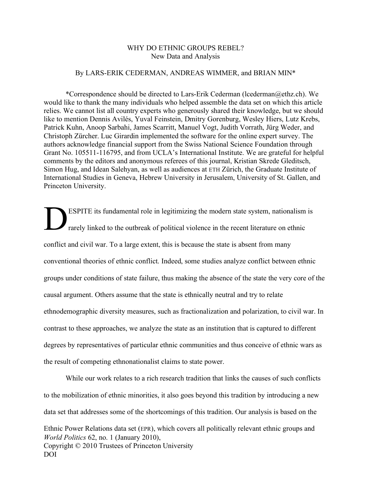# WHY DO ETHNIC GROUPS REBEL? New Data and Analysis

# By LARS-ERIK CEDERMAN, ANDREAS WIMMER, and BRIAN MIN\*

\*Correspondence should be directed to Lars-Erik Cederman (lcederman $@$ ethz.ch). We would like to thank the many individuals who helped assemble the data set on which this article relies. We cannot list all country experts who generously shared their knowledge, but we should like to mention Dennis Avilés, Yuval Feinstein, Dmitry Gorenburg, Wesley Hiers, Lutz Krebs, Patrick Kuhn, Anoop Sarbahi, James Scarritt, Manuel Vogt, Judith Vorrath, Jürg Weder, and Christoph Zürcher. Luc Girardin implemented the software for the online expert survey. The authors acknowledge financial support from the Swiss National Science Foundation through Grant No. 105511-116795, and from UCLA's International Institute. We are grateful for helpful comments by the editors and anonymous referees of this journal, Kristian Skrede Gleditsch, Simon Hug, and Idean Salehyan, as well as audiences at ETH Zürich, the Graduate Institute of International Studies in Geneva, Hebrew University in Jerusalem, University of St. Gallen, and Princeton University.

ESPITE its fundamental role in legitimizing the modern state system, nationalism is rarely linked to the outbreak of political violence in the recent literature on ethnic conflict and civil war. To a large extent, this is because the state is absent from many conventional theories of ethnic conflict. Indeed, some studies analyze conflict between ethnic groups under conditions of state failure, thus making the absence of the state the very core of the causal argument. Others assume that the state is ethnically neutral and try to relate ethnodemographic diversity measures, such as fractionalization and polarization, to civil war. In contrast to these approaches, we analyze the state as an institution that is captured to different degrees by representatives of particular ethnic communities and thus conceive of ethnic wars as the result of competing ethnonationalist claims to state power. D

*World Politics* 62, no. 1 (January 2010), Copyright © 2010 Trustees of Princeton University DOI While our work relates to a rich research tradition that links the causes of such conflicts to the mobilization of ethnic minorities, it also goes beyond this tradition by introducing a new data set that addresses some of the shortcomings of this tradition. Our analysis is based on the Ethnic Power Relations data set (EPR), which covers all politically relevant ethnic groups and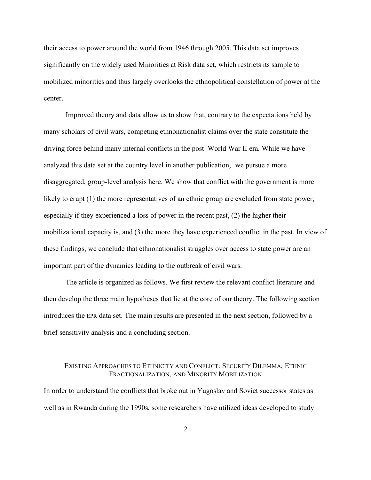their access to power around the world from 1946 through 2005. This data set improves significantly on the widely used Minorities at Risk data set, which restricts its sample to mobilized minorities and thus largely overlooks the ethnopolitical constellation of power at the center.

Improved theory and data allow us to show that, contrary to the expectations held by many scholars of civil wars, competing ethnonationalist claims over the state constitute the driving force behind many internal conflicts in the post–World War II era. While we have analyzed this data set at the country level in another publication,  $\mu$  we pursue a more disaggregated, group-level analysis here. We show that conflict with the government is more likely to erupt (1) the more representatives of an ethnic group are excluded from state power, especially if they experienced a loss of power in the recent past, (2) the higher their mobilizational capacity is, and (3) the more they have experienced conflict in the past. In view of these findings, we conclude that ethnonationalist struggles over access to state power are an important part of the dynamics leading to the outbreak of civil wars.

The article is organized as follows. We first review the relevant conflict literature and then develop the three main hypotheses that lie at the core of our theory. The following section introduces the EPR data set. The main results are presented in the next section, followed by a brief sensitivity analysis and a concluding section.

# EXISTING APPROACHES TO ETHNICITY AND CONFLICT: SECURITY DILEMMA, ETHNIC FRACTIONALIZATION, AND MINORITY MOBILIZATION

In order to understand the conflicts that broke out in Yugoslav and Soviet successor states as well as in Rwanda during the 1990s, some researchers have utilized ideas developed to study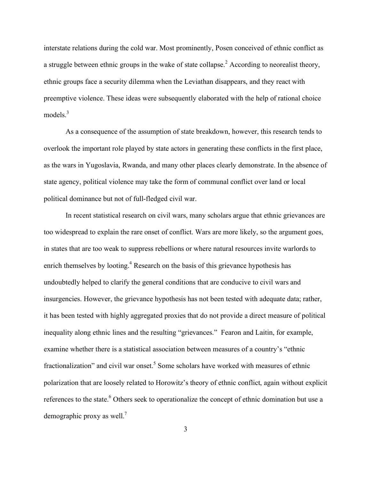interstate relations during the cold war. Most prominently, Posen conceived of ethnic conflict as a struggle between ethnic groups in the wake of state collapse.<sup>2</sup> According to neorealist theory, ethnic groups face a security dilemma when the Leviathan disappears, and they react with preemptive violence. These ideas were subsequently elaborated with the help of rational choice models.<sup>3</sup>

As a consequence of the assumption of state breakdown, however, this research tends to overlook the important role played by state actors in generating these conflicts in the first place, as the wars in Yugoslavia, Rwanda, and many other places clearly demonstrate. In the absence of state agency, political violence may take the form of communal conflict over land or local political dominance but not of full-fledged civil war.

In recent statistical research on civil wars, many scholars argue that ethnic grievances are too widespread to explain the rare onset of conflict. Wars are more likely, so the argument goes, in states that are too weak to suppress rebellions or where natural resources invite warlords to enrich themselves by looting.<sup>4</sup> Research on the basis of this grievance hypothesis has undoubtedly helped to clarify the general conditions that are conducive to civil wars and insurgencies. However, the grievance hypothesis has not been tested with adequate data; rather, it has been tested with highly aggregated proxies that do not provide a direct measure of political inequality along ethnic lines and the resulting "grievances." Fearon and Laitin, for example, examine whether there is a statistical association between measures of a country's "ethnic fractionalization" and civil war onset.<sup>5</sup> Some scholars have worked with measures of ethnic polarization that are loosely related to Horowitz's theory of ethnic conflict, again without explicit references to the state.<sup>6</sup> Others seek to operationalize the concept of ethnic domination but use a demographic proxy as well.<sup>7</sup>

3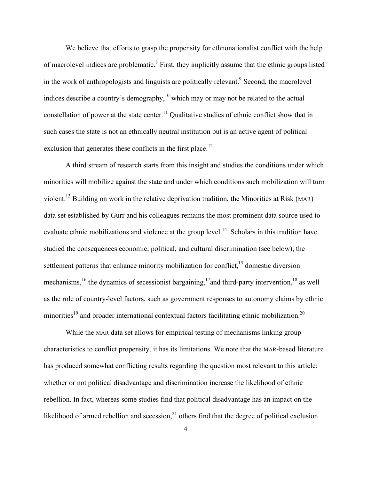We believe that efforts to grasp the propensity for ethnonationalist conflict with the help of macrolevel indices are problematic.<sup>8</sup> First, they implicitly assume that the ethnic groups listed in the work of anthropologists and linguists are politically relevant.<sup>9</sup> Second, the macrolevel indices describe a country's demography,  $10$  which may or may not be related to the actual constellation of power at the state center.<sup>11</sup> Qualitative studies of ethnic conflict show that in such cases the state is not an ethnically neutral institution but is an active agent of political exclusion that generates these conflicts in the first place.<sup>12</sup>

A third stream of research starts from this insight and studies the conditions under which minorities will mobilize against the state and under which conditions such mobilization will turn violent.<sup>13</sup> Building on work in the relative deprivation tradition, the Minorities at Risk (MAR) data set established by Gurr and his colleagues remains the most prominent data source used to evaluate ethnic mobilizations and violence at the group level.<sup>14</sup> Scholars in this tradition have studied the consequences economic, political, and cultural discrimination (see below), the settlement patterns that enhance minority mobilization for conflict,<sup>15</sup> domestic diversion mechanisms, <sup>16</sup> the dynamics of secessionist bargaining, <sup>17</sup> and third-party intervention, <sup>18</sup> as well as the role of country-level factors, such as government responses to autonomy claims by ethnic minorities<sup>19</sup> and broader international contextual factors facilitating ethnic mobilization.<sup>20</sup>

While the MAR data set allows for empirical testing of mechanisms linking group characteristics to conflict propensity, it has its limitations. We note that the MAR-based literature has produced somewhat conflicting results regarding the question most relevant to this article: whether or not political disadvantage and discrimination increase the likelihood of ethnic rebellion. In fact, whereas some studies find that political disadvantage has an impact on the likelihood of armed rebellion and secession, $^{21}$  others find that the degree of political exclusion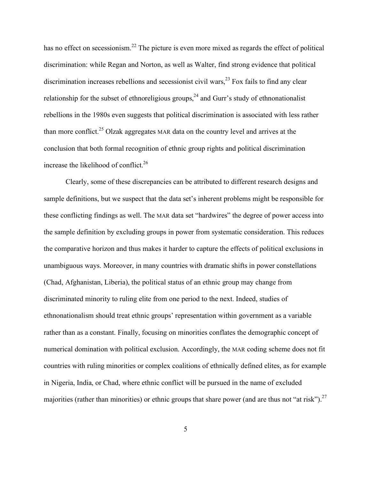has no effect on secessionism.<sup>22</sup> The picture is even more mixed as regards the effect of political discrimination: while Regan and Norton, as well as Walter, find strong evidence that political discrimination increases rebellions and secessionist civil wars,<sup>23</sup> Fox fails to find any clear relationship for the subset of ethnoreligious groups,  $24$  and Gurr's study of ethnonationalist rebellions in the 1980s even suggests that political discrimination is associated with less rather than more conflict.<sup>25</sup> Olzak aggregates MAR data on the country level and arrives at the conclusion that both formal recognition of ethnic group rights and political discrimination increase the likelihood of conflict.<sup>26</sup>

Clearly, some of these discrepancies can be attributed to different research designs and sample definitions, but we suspect that the data set's inherent problems might be responsible for these conflicting findings as well. The MAR data set "hardwires" the degree of power access into the sample definition by excluding groups in power from systematic consideration. This reduces the comparative horizon and thus makes it harder to capture the effects of political exclusions in unambiguous ways. Moreover, in many countries with dramatic shifts in power constellations (Chad, Afghanistan, Liberia), the political status of an ethnic group may change from discriminated minority to ruling elite from one period to the next. Indeed, studies of ethnonationalism should treat ethnic groups' representation within government as a variable rather than as a constant. Finally, focusing on minorities conflates the demographic concept of numerical domination with political exclusion. Accordingly, the MAR coding scheme does not fit countries with ruling minorities or complex coalitions of ethnically defined elites, as for example in Nigeria, India, or Chad, where ethnic conflict will be pursued in the name of excluded majorities (rather than minorities) or ethnic groups that share power (and are thus not "at risk").<sup>27</sup>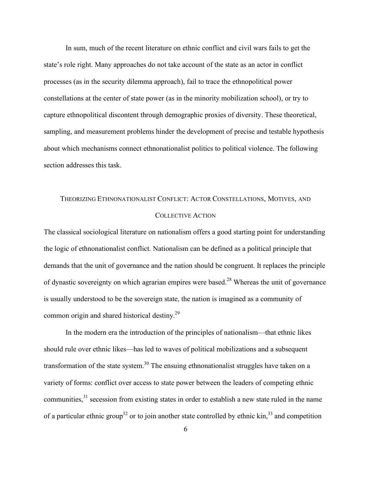In sum, much of the recent literature on ethnic conflict and civil wars fails to get the state's role right. Many approaches do not take account of the state as an actor in conflict processes (as in the security dilemma approach), fail to trace the ethnopolitical power constellations at the center of state power (as in the minority mobilization school), or try to capture ethnopolitical discontent through demographic proxies of diversity. These theoretical, sampling, and measurement problems hinder the development of precise and testable hypothesis about which mechanisms connect ethnonationalist politics to political violence. The following section addresses this task.

# THEORIZING ETHNONATIONALIST CONFLICT: ACTOR CONSTELLATIONS, MOTIVES, AND COLLECTIVE ACTION

The classical sociological literature on nationalism offers a good starting point for understanding the logic of ethnonationalist conflict. Nationalism can be defined as a political principle that demands that the unit of governance and the nation should be congruent. It replaces the principle of dynastic sovereignty on which agrarian empires were based.<sup>28</sup> Whereas the unit of governance is usually understood to be the sovereign state, the nation is imagined as a community of common origin and shared historical destiny.<sup>29</sup>

In the modern era the introduction of the principles of nationalism—that ethnic likes should rule over ethnic likes—has led to waves of political mobilizations and a subsequent transformation of the state system.<sup>30</sup> The ensuing ethnonationalist struggles have taken on a variety of forms: conflict over access to state power between the leaders of competing ethnic communities, $3<sup>1</sup>$  secession from existing states in order to establish a new state ruled in the name of a particular ethnic group<sup>32</sup> or to join another state controlled by ethnic  $\sin^{33}$  and competition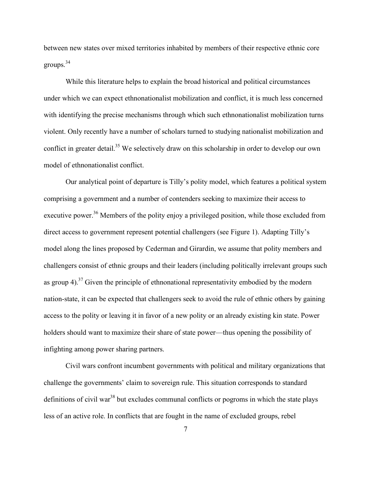between new states over mixed territories inhabited by members of their respective ethnic core groups. 34

While this literature helps to explain the broad historical and political circumstances under which we can expect ethnonationalist mobilization and conflict, it is much less concerned with identifying the precise mechanisms through which such ethnonationalist mobilization turns violent. Only recently have a number of scholars turned to studying nationalist mobilization and conflict in greater detail.<sup>35</sup> We selectively draw on this scholarship in order to develop our own model of ethnonationalist conflict.

Our analytical point of departure is Tilly's polity model, which features a political system comprising a government and a number of contenders seeking to maximize their access to executive power.<sup>36</sup> Members of the polity enjoy a privileged position, while those excluded from direct access to government represent potential challengers (see Figure 1). Adapting Tilly's model along the lines proposed by Cederman and Girardin, we assume that polity members and challengers consist of ethnic groups and their leaders (including politically irrelevant groups such as group 4).<sup>37</sup> Given the principle of ethnonational representativity embodied by the modern nation-state, it can be expected that challengers seek to avoid the rule of ethnic others by gaining access to the polity or leaving it in favor of a new polity or an already existing kin state. Power holders should want to maximize their share of state power—thus opening the possibility of infighting among power sharing partners.

Civil wars confront incumbent governments with political and military organizations that challenge the governments' claim to sovereign rule. This situation corresponds to standard definitions of civil war<sup>38</sup> but excludes communal conflicts or pogroms in which the state plays less of an active role. In conflicts that are fought in the name of excluded groups, rebel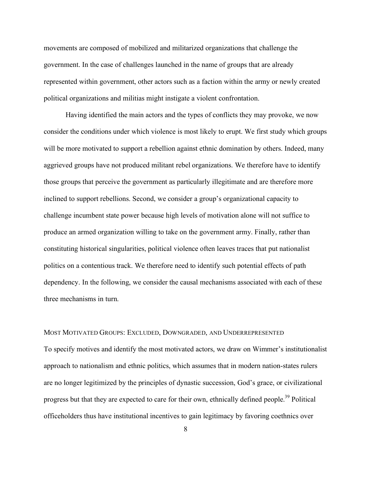movements are composed of mobilized and militarized organizations that challenge the government. In the case of challenges launched in the name of groups that are already represented within government, other actors such as a faction within the army or newly created political organizations and militias might instigate a violent confrontation.

Having identified the main actors and the types of conflicts they may provoke, we now consider the conditions under which violence is most likely to erupt. We first study which groups will be more motivated to support a rebellion against ethnic domination by others. Indeed, many aggrieved groups have not produced militant rebel organizations. We therefore have to identify those groups that perceive the government as particularly illegitimate and are therefore more inclined to support rebellions. Second, we consider a group's organizational capacity to challenge incumbent state power because high levels of motivation alone will not suffice to produce an armed organization willing to take on the government army. Finally, rather than constituting historical singularities, political violence often leaves traces that put nationalist politics on a contentious track. We therefore need to identify such potential effects of path dependency. In the following, we consider the causal mechanisms associated with each of these three mechanisms in turn.

# MOST MOTIVATED GROUPS: EXCLUDED, DOWNGRADED, AND UNDERREPRESENTED

To specify motives and identify the most motivated actors, we draw on Wimmer's institutionalist approach to nationalism and ethnic politics, which assumes that in modern nation-states rulers are no longer legitimized by the principles of dynastic succession, God's grace, or civilizational progress but that they are expected to care for their own, ethnically defined people.<sup>39</sup> Political officeholders thus have institutional incentives to gain legitimacy by favoring coethnics over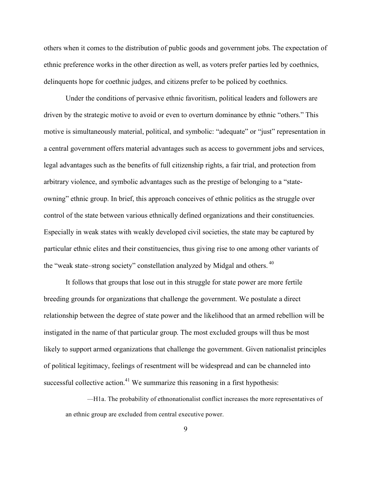others when it comes to the distribution of public goods and government jobs. The expectation of ethnic preference works in the other direction as well, as voters prefer parties led by coethnics, delinquents hope for coethnic judges, and citizens prefer to be policed by coethnics.

Under the conditions of pervasive ethnic favoritism, political leaders and followers are driven by the strategic motive to avoid or even to overturn dominance by ethnic "others." This motive is simultaneously material, political, and symbolic: "adequate" or "just" representation in a central government offers material advantages such as access to government jobs and services, legal advantages such as the benefits of full citizenship rights, a fair trial, and protection from arbitrary violence, and symbolic advantages such as the prestige of belonging to a "stateowning" ethnic group. In brief, this approach conceives of ethnic politics as the struggle over control of the state between various ethnically defined organizations and their constituencies. Especially in weak states with weakly developed civil societies, the state may be captured by particular ethnic elites and their constituencies, thus giving rise to one among other variants of the "weak state–strong society" constellation analyzed by Midgal and others. <sup>40</sup>

It follows that groups that lose out in this struggle for state power are more fertile breeding grounds for organizations that challenge the government. We postulate a direct relationship between the degree of state power and the likelihood that an armed rebellion will be instigated in the name of that particular group. The most excluded groups will thus be most likely to support armed organizations that challenge the government. Given nationalist principles of political legitimacy, feelings of resentment will be widespread and can be channeled into successful collective action. $41$  We summarize this reasoning in a first hypothesis:

*—*H1a. The probability of ethnonationalist conflict increases the more representatives of an ethnic group are excluded from central executive power.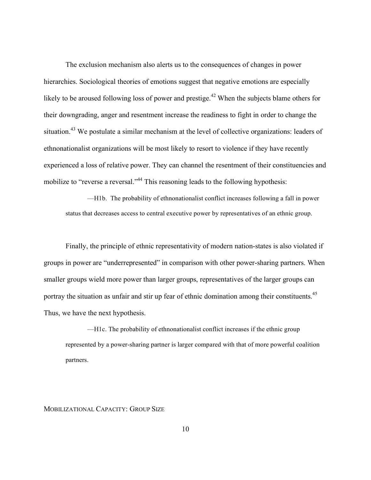The exclusion mechanism also alerts us to the consequences of changes in power hierarchies. Sociological theories of emotions suggest that negative emotions are especially likely to be aroused following loss of power and prestige.<sup>42</sup> When the subjects blame others for their downgrading, anger and resentment increase the readiness to fight in order to change the situation.<sup>43</sup> We postulate a similar mechanism at the level of collective organizations: leaders of ethnonationalist organizations will be most likely to resort to violence if they have recently experienced a loss of relative power. They can channel the resentment of their constituencies and mobilize to "reverse a reversal."<sup>44</sup> This reasoning leads to the following hypothesis:

—H1b. The probability of ethnonationalist conflict increases following a fall in power status that decreases access to central executive power by representatives of an ethnic group.

Finally, the principle of ethnic representativity of modern nation-states is also violated if groups in power are "underrepresented" in comparison with other power-sharing partners. When smaller groups wield more power than larger groups, representatives of the larger groups can portray the situation as unfair and stir up fear of ethnic domination among their constituents.<sup>45</sup> Thus, we have the next hypothesis.

—H1c. The probability of ethnonationalist conflict increases if the ethnic group represented by a power-sharing partner is larger compared with that of more powerful coalition partners.

### MOBILIZATIONAL CAPACITY: GROUP SIZE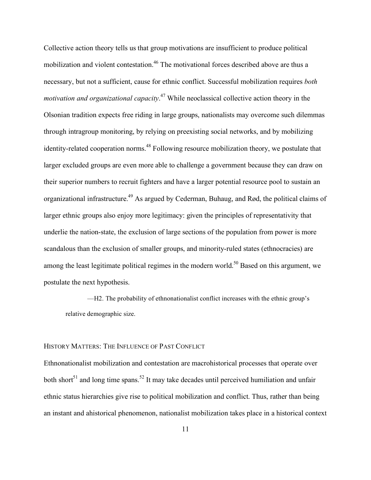Collective action theory tells us that group motivations are insufficient to produce political mobilization and violent contestation.<sup>46</sup> The motivational forces described above are thus a necessary, but not a sufficient, cause for ethnic conflict. Successful mobilization requires *both motivation and organizational capacity*. <sup>47</sup> While neoclassical collective action theory in the Olsonian tradition expects free riding in large groups, nationalists may overcome such dilemmas through intragroup monitoring, by relying on preexisting social networks, and by mobilizing identity-related cooperation norms.<sup>48</sup> Following resource mobilization theory, we postulate that larger excluded groups are even more able to challenge a government because they can draw on their superior numbers to recruit fighters and have a larger potential resource pool to sustain an organizational infrastructure.<sup>49</sup> As argued by Cederman, Buhaug, and Rød, the political claims of larger ethnic groups also enjoy more legitimacy: given the principles of representativity that underlie the nation-state, the exclusion of large sections of the population from power is more scandalous than the exclusion of smaller groups, and minority-ruled states (ethnocracies) are among the least legitimate political regimes in the modern world.<sup>50</sup> Based on this argument, we postulate the next hypothesis.

—H2. The probability of ethnonationalist conflict increases with the ethnic group's relative demographic size.

# HISTORY MATTERS: THE INFLUENCE OF PAST CONFLICT

Ethnonationalist mobilization and contestation are macrohistorical processes that operate over both short<sup>51</sup> and long time spans.<sup>52</sup> It may take decades until perceived humiliation and unfair ethnic status hierarchies give rise to political mobilization and conflict. Thus, rather than being an instant and ahistorical phenomenon, nationalist mobilization takes place in a historical context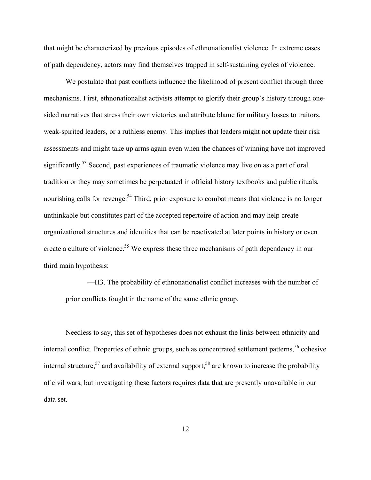that might be characterized by previous episodes of ethnonationalist violence. In extreme cases of path dependency, actors may find themselves trapped in self-sustaining cycles of violence.

We postulate that past conflicts influence the likelihood of present conflict through three mechanisms. First, ethnonationalist activists attempt to glorify their group's history through onesided narratives that stress their own victories and attribute blame for military losses to traitors, weak-spirited leaders, or a ruthless enemy. This implies that leaders might not update their risk assessments and might take up arms again even when the chances of winning have not improved significantly.<sup>53</sup> Second, past experiences of traumatic violence may live on as a part of oral tradition or they may sometimes be perpetuated in official history textbooks and public rituals, nourishing calls for revenge.<sup>54</sup> Third, prior exposure to combat means that violence is no longer unthinkable but constitutes part of the accepted repertoire of action and may help create organizational structures and identities that can be reactivated at later points in history or even create a culture of violence.<sup>55</sup> We express these three mechanisms of path dependency in our third main hypothesis:

—H3. The probability of ethnonationalist conflict increases with the number of prior conflicts fought in the name of the same ethnic group.

Needless to say, this set of hypotheses does not exhaust the links between ethnicity and internal conflict. Properties of ethnic groups, such as concentrated settlement patterns, <sup>56</sup> cohesive internal structure,<sup>57</sup> and availability of external support,<sup>58</sup> are known to increase the probability of civil wars, but investigating these factors requires data that are presently unavailable in our data set.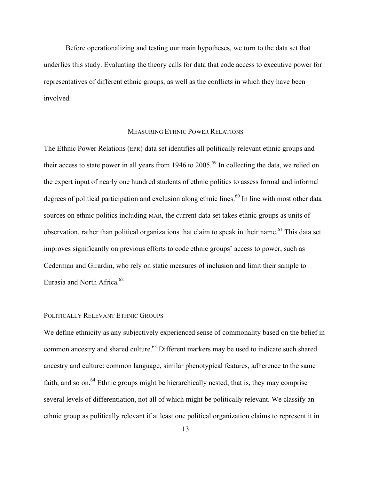Before operationalizing and testing our main hypotheses, we turn to the data set that underlies this study. Evaluating the theory calls for data that code access to executive power for representatives of different ethnic groups, as well as the conflicts in which they have been involved.

# MEASURING ETHNIC POWER RELATIONS

The Ethnic Power Relations (EPR) data set identifies all politically relevant ethnic groups and their access to state power in all years from 1946 to  $2005$ .<sup>59</sup> In collecting the data, we relied on the expert input of nearly one hundred students of ethnic politics to assess formal and informal degrees of political participation and exclusion along ethnic lines.<sup>60</sup> In line with most other data sources on ethnic politics including MAR, the current data set takes ethnic groups as units of observation, rather than political organizations that claim to speak in their name.<sup>61</sup> This data set improves significantly on previous efforts to code ethnic groups' access to power, such as Cederman and Girardin, who rely on static measures of inclusion and limit their sample to Eurasia and North Africa. 62

# POLITICALLY RELEVANT ETHNIC GROUPS

We define ethnicity as any subjectively experienced sense of commonality based on the belief in common ancestry and shared culture.<sup>63</sup> Different markers may be used to indicate such shared ancestry and culture: common language, similar phenotypical features, adherence to the same faith, and so on.<sup>64</sup> Ethnic groups might be hierarchically nested; that is, they may comprise several levels of differentiation, not all of which might be politically relevant. We classify an ethnic group as politically relevant if at least one political organization claims to represent it in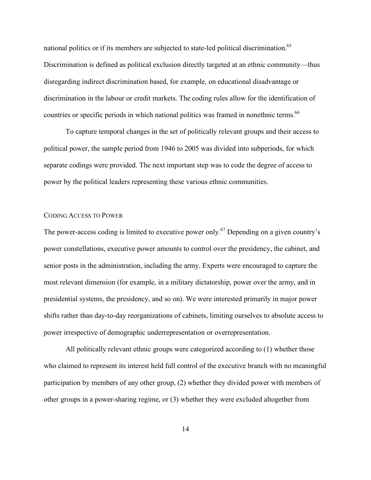national politics or if its members are subjected to state-led political discrimination.<sup>65</sup> Discrimination is defined as political exclusion directly targeted at an ethnic community—thus disregarding indirect discrimination based, for example, on educational disadvantage or discrimination in the labour or credit markets. The coding rules allow for the identification of countries or specific periods in which national politics was framed in nonethnic terms.<sup>66</sup>

To capture temporal changes in the set of politically relevant groups and their access to political power, the sample period from 1946 to 2005 was divided into subperiods, for which separate codings were provided. The next important step was to code the degree of access to power by the political leaders representing these various ethnic communities.

#### CODING ACCESS TO POWER

The power-access coding is limited to executive power only.<sup>67</sup> Depending on a given country's power constellations, executive power amounts to control over the presidency, the cabinet, and senior posts in the administration, including the army. Experts were encouraged to capture the most relevant dimension (for example, in a military dictatorship, power over the army, and in presidential systems, the presidency, and so on). We were interested primarily in major power shifts rather than day-to-day reorganizations of cabinets, limiting ourselves to absolute access to power irrespective of demographic underrepresentation or overrepresentation.

All politically relevant ethnic groups were categorized according to (1) whether those who claimed to represent its interest held full control of the executive branch with no meaningful participation by members of any other group, (2) whether they divided power with members of other groups in a power-sharing regime, or (3) whether they were excluded altogether from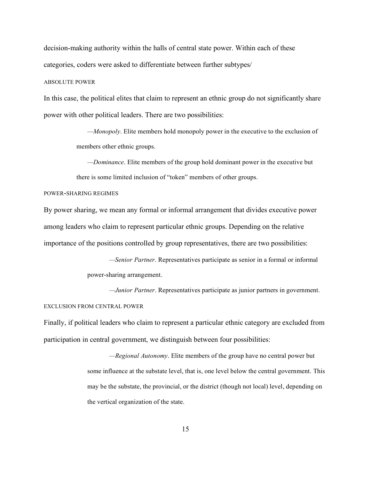decision-making authority within the halls of central state power. Within each of these categories, coders were asked to differentiate between further subtypes/

#### ABSOLUTE POWER

In this case, the political elites that claim to represent an ethnic group do not significantly share power with other political leaders. There are two possibilities:

> *—Monopoly*. Elite members hold monopoly power in the executive to the exclusion of members other ethnic groups.

*—Dominance*. Elite members of the group hold dominant power in the executive but there is some limited inclusion of "token" members of other groups.

#### POWER-SHARING REGIMES

By power sharing, we mean any formal or informal arrangement that divides executive power among leaders who claim to represent particular ethnic groups. Depending on the relative importance of the positions controlled by group representatives, there are two possibilities:

> *—Senior Partner*. Representatives participate as senior in a formal or informal power-sharing arrangement.

*—Junior Partner*. Representatives participate as junior partners in government.

#### EXCLUSION FROM CENTRAL POWER

Finally, if political leaders who claim to represent a particular ethnic category are excluded from participation in central government, we distinguish between four possibilities:

> *—Regional Autonomy*. Elite members of the group have no central power but some influence at the substate level, that is, one level below the central government. This may be the substate, the provincial, or the district (though not local) level, depending on the vertical organization of the state.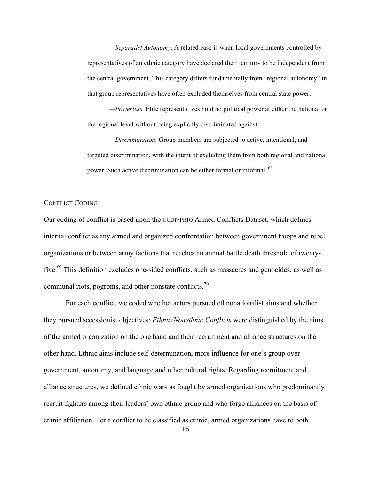*—Separatist Autonomy*. A related case is when local governments controlled by representatives of an ethnic category have declared their territory to be independent from the central government. This category differs fundamentally from "regional autonomy" in that group representatives have often excluded themselves from central state power.

*—Powerless.* Elite representatives hold no political power at either the national or the regional level without being explicitly discriminated against.

*—Discrimination.* Group members are subjected to active, intentional, and targeted discrimination, with the intent of excluding them from both regional and national power. Such active discrimination can be either formal or informal.<sup>68</sup>

#### CONFLICT CODING

Our coding of conflict is based upon the UCDP/PRIO Armed Conflicts Dataset, which defines internal conflict as any armed and organized confrontation between government troops and rebel organizations or between army factions that reaches an annual battle death threshold of twentyfive.<sup>69</sup> This definition excludes one-sided conflicts, such as massacres and genocides, as well as communal riots, pogroms, and other nonstate conflicts.<sup>70</sup>

For each conflict, we coded whether actors pursued ethnonationalist aims and whether they pursued secessionist objectives: *Ethnic/Nonethnic Conflicts* were distinguished by the aims of the armed organization on the one hand and their recruitment and alliance structures on the other hand. Ethnic aims include self-determination, more influence for one's group over government, autonomy, and language and other cultural rights. Regarding recruitment and alliance structures, we defined ethnic wars as fought by armed organizations who predominantly recruit fighters among their leaders' own ethnic group and who forge alliances on the basis of ethnic affiliation. For a conflict to be classified as ethnic, armed organizations have to both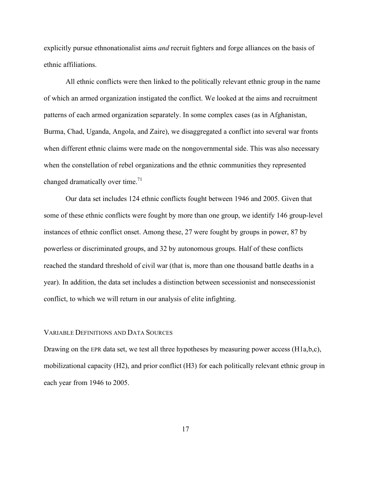explicitly pursue ethnonationalist aims *and* recruit fighters and forge alliances on the basis of ethnic affiliations.

All ethnic conflicts were then linked to the politically relevant ethnic group in the name of which an armed organization instigated the conflict. We looked at the aims and recruitment patterns of each armed organization separately. In some complex cases (as in Afghanistan, Burma, Chad, Uganda, Angola, and Zaire), we disaggregated a conflict into several war fronts when different ethnic claims were made on the nongovernmental side. This was also necessary when the constellation of rebel organizations and the ethnic communities they represented changed dramatically over time.<sup>71</sup>

Our data set includes 124 ethnic conflicts fought between 1946 and 2005. Given that some of these ethnic conflicts were fought by more than one group, we identify 146 group-level instances of ethnic conflict onset. Among these, 27 were fought by groups in power, 87 by powerless or discriminated groups, and 32 by autonomous groups. Half of these conflicts reached the standard threshold of civil war (that is, more than one thousand battle deaths in a year). In addition, the data set includes a distinction between secessionist and nonsecessionist conflict, to which we will return in our analysis of elite infighting.

#### VARIABLE DEFINITIONS AND DATA SOURCES

Drawing on the EPR data set, we test all three hypotheses by measuring power access (H1a,b,c), mobilizational capacity (H2), and prior conflict (H3) for each politically relevant ethnic group in each year from 1946 to 2005.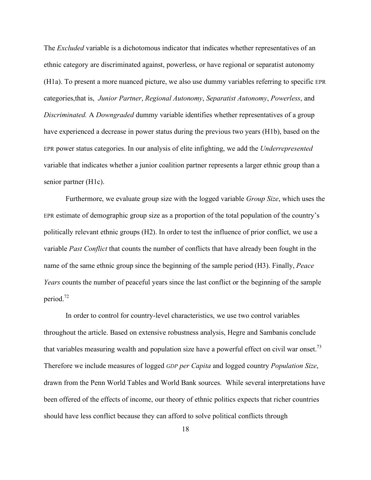The *Excluded* variable is a dichotomous indicator that indicates whether representatives of an ethnic category are discriminated against, powerless, or have regional or separatist autonomy (H1a). To present a more nuanced picture, we also use dummy variables referring to specific EPR categories,that is, *Junior Partner*, *Regional Autonomy*, *Separatist Autonomy*, *Powerless*, and *Discriminated.* A *Downgraded* dummy variable identifies whether representatives of a group have experienced a decrease in power status during the previous two years (H1b), based on the EPR power status categories. In our analysis of elite infighting, we add the *Underrepresented* variable that indicates whether a junior coalition partner represents a larger ethnic group than a senior partner (H1c).

Furthermore, we evaluate group size with the logged variable *Group Size*, which uses the EPR estimate of demographic group size as a proportion of the total population of the country's politically relevant ethnic groups (H2). In order to test the influence of prior conflict, we use a variable *Past Conflict* that counts the number of conflicts that have already been fought in the name of the same ethnic group since the beginning of the sample period (H3). Finally, *Peace Years* counts the number of peaceful years since the last conflict or the beginning of the sample period.72

In order to control for country-level characteristics, we use two control variables throughout the article. Based on extensive robustness analysis, Hegre and Sambanis conclude that variables measuring wealth and population size have a powerful effect on civil war onset.<sup>73</sup> Therefore we include measures of logged *GDP per Capita* and logged country *Population Size*, drawn from the Penn World Tables and World Bank sources. While several interpretations have been offered of the effects of income, our theory of ethnic politics expects that richer countries should have less conflict because they can afford to solve political conflicts through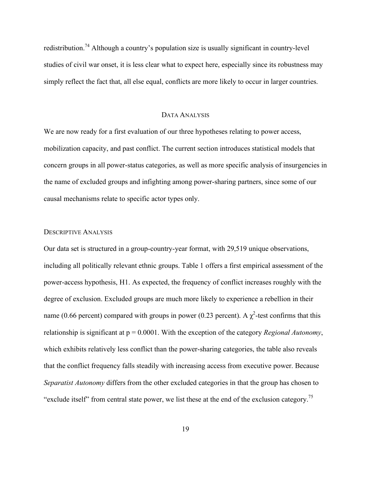redistribution.<sup>74</sup> Although a country's population size is usually significant in country-level studies of civil war onset, it is less clear what to expect here, especially since its robustness may simply reflect the fact that, all else equal, conflicts are more likely to occur in larger countries.

### DATA ANALYSIS

We are now ready for a first evaluation of our three hypotheses relating to power access, mobilization capacity, and past conflict. The current section introduces statistical models that concern groups in all power-status categories, as well as more specific analysis of insurgencies in the name of excluded groups and infighting among power-sharing partners, since some of our causal mechanisms relate to specific actor types only.

# DESCRIPTIVE ANALYSIS

Our data set is structured in a group-country-year format, with 29,519 unique observations, including all politically relevant ethnic groups. Table 1 offers a first empirical assessment of the power-access hypothesis, H1. As expected, the frequency of conflict increases roughly with the degree of exclusion. Excluded groups are much more likely to experience a rebellion in their name (0.66 percent) compared with groups in power (0.23 percent). A  $\chi^2$ -test confirms that this relationship is significant at p = 0.0001. With the exception of the category *Regional Autonomy*, which exhibits relatively less conflict than the power-sharing categories, the table also reveals that the conflict frequency falls steadily with increasing access from executive power. Because *Separatist Autonomy* differs from the other excluded categories in that the group has chosen to "exclude itself" from central state power, we list these at the end of the exclusion category.<sup>75</sup>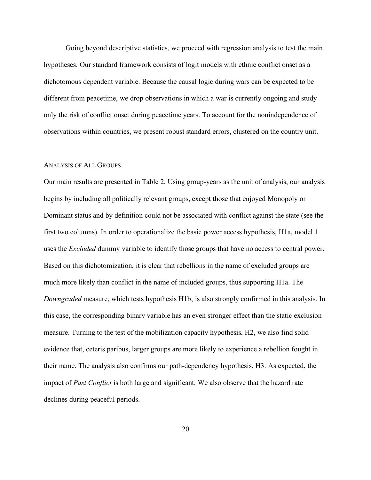Going beyond descriptive statistics, we proceed with regression analysis to test the main hypotheses. Our standard framework consists of logit models with ethnic conflict onset as a dichotomous dependent variable. Because the causal logic during wars can be expected to be different from peacetime, we drop observations in which a war is currently ongoing and study only the risk of conflict onset during peacetime years. To account for the nonindependence of observations within countries, we present robust standard errors, clustered on the country unit.

### ANALYSIS OF ALL GROUPS

Our main results are presented in Table 2. Using group-years as the unit of analysis, our analysis begins by including all politically relevant groups, except those that enjoyed Monopoly or Dominant status and by definition could not be associated with conflict against the state (see the first two columns). In order to operationalize the basic power access hypothesis, H1a, model 1 uses the *Excluded* dummy variable to identify those groups that have no access to central power. Based on this dichotomization, it is clear that rebellions in the name of excluded groups are much more likely than conflict in the name of included groups, thus supporting H1a. The *Downgraded* measure, which tests hypothesis H1b, is also strongly confirmed in this analysis. In this case, the corresponding binary variable has an even stronger effect than the static exclusion measure. Turning to the test of the mobilization capacity hypothesis, H2, we also find solid evidence that, ceteris paribus, larger groups are more likely to experience a rebellion fought in their name. The analysis also confirms our path-dependency hypothesis, H3. As expected, the impact of *Past Conflict* is both large and significant. We also observe that the hazard rate declines during peaceful periods.

20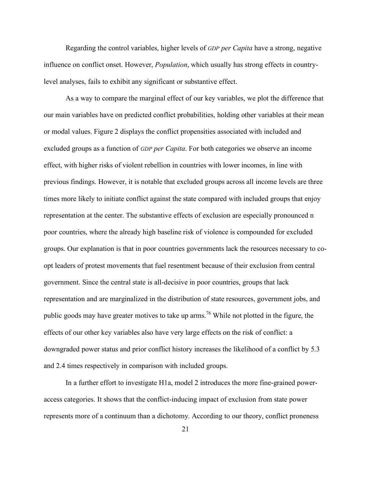Regarding the control variables, higher levels of *GDP per Capita* have a strong, negative influence on conflict onset. However, *Population*, which usually has strong effects in countrylevel analyses, fails to exhibit any significant or substantive effect.

As a way to compare the marginal effect of our key variables, we plot the difference that our main variables have on predicted conflict probabilities, holding other variables at their mean or modal values. Figure 2 displays the conflict propensities associated with included and excluded groups as a function of *GDP per Capita*. For both categories we observe an income effect, with higher risks of violent rebellion in countries with lower incomes, in line with previous findings. However, it is notable that excluded groups across all income levels are three times more likely to initiate conflict against the state compared with included groups that enjoy representation at the center. The substantive effects of exclusion are especially pronounced n poor countries, where the already high baseline risk of violence is compounded for excluded groups. Our explanation is that in poor countries governments lack the resources necessary to coopt leaders of protest movements that fuel resentment because of their exclusion from central government. Since the central state is all-decisive in poor countries, groups that lack representation and are marginalized in the distribution of state resources, government jobs, and public goods may have greater motives to take up arms.<sup>76</sup> While not plotted in the figure, the effects of our other key variables also have very large effects on the risk of conflict: a downgraded power status and prior conflict history increases the likelihood of a conflict by 5.3 and 2.4 times respectively in comparison with included groups.

In a further effort to investigate H1a, model 2 introduces the more fine-grained poweraccess categories. It shows that the conflict-inducing impact of exclusion from state power represents more of a continuum than a dichotomy. According to our theory, conflict proneness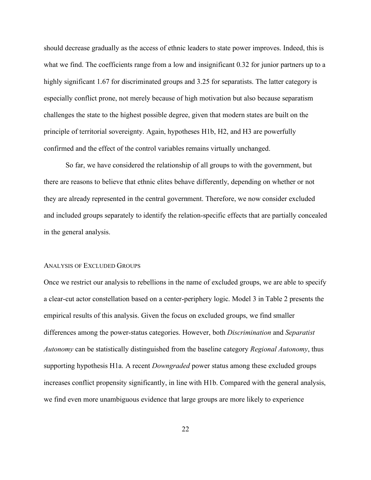should decrease gradually as the access of ethnic leaders to state power improves. Indeed, this is what we find. The coefficients range from a low and insignificant 0.32 for junior partners up to a highly significant 1.67 for discriminated groups and 3.25 for separatists. The latter category is especially conflict prone, not merely because of high motivation but also because separatism challenges the state to the highest possible degree, given that modern states are built on the principle of territorial sovereignty. Again, hypotheses H1b, H2, and H3 are powerfully confirmed and the effect of the control variables remains virtually unchanged.

So far, we have considered the relationship of all groups to with the government, but there are reasons to believe that ethnic elites behave differently, depending on whether or not they are already represented in the central government. Therefore, we now consider excluded and included groups separately to identify the relation-specific effects that are partially concealed in the general analysis.

#### ANALYSIS OF EXCLUDED GROUPS

Once we restrict our analysis to rebellions in the name of excluded groups, we are able to specify a clear-cut actor constellation based on a center-periphery logic. Model 3 in Table 2 presents the empirical results of this analysis. Given the focus on excluded groups, we find smaller differences among the power-status categories. However, both *Discrimination* and *Separatist Autonomy* can be statistically distinguished from the baseline category *Regional Autonomy*, thus supporting hypothesis H1a. A recent *Downgraded* power status among these excluded groups increases conflict propensity significantly, in line with H1b. Compared with the general analysis, we find even more unambiguous evidence that large groups are more likely to experience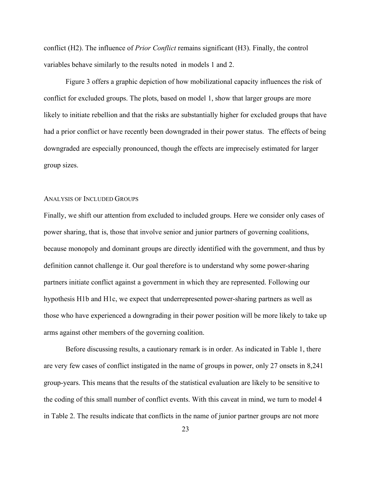conflict (H2). The influence of *Prior Conflict* remains significant (H3). Finally, the control variables behave similarly to the results noted in models 1 and 2.

Figure 3 offers a graphic depiction of how mobilizational capacity influences the risk of conflict for excluded groups. The plots, based on model 1, show that larger groups are more likely to initiate rebellion and that the risks are substantially higher for excluded groups that have had a prior conflict or have recently been downgraded in their power status. The effects of being downgraded are especially pronounced, though the effects are imprecisely estimated for larger group sizes.

#### ANALYSIS OF INCLUDED GROUPS

Finally, we shift our attention from excluded to included groups. Here we consider only cases of power sharing, that is, those that involve senior and junior partners of governing coalitions, because monopoly and dominant groups are directly identified with the government, and thus by definition cannot challenge it. Our goal therefore is to understand why some power-sharing partners initiate conflict against a government in which they are represented. Following our hypothesis H1b and H1c, we expect that underrepresented power-sharing partners as well as those who have experienced a downgrading in their power position will be more likely to take up arms against other members of the governing coalition.

Before discussing results, a cautionary remark is in order. As indicated in Table 1, there are very few cases of conflict instigated in the name of groups in power, only 27 onsets in 8,241 group-years. This means that the results of the statistical evaluation are likely to be sensitive to the coding of this small number of conflict events. With this caveat in mind, we turn to model 4 in Table 2. The results indicate that conflicts in the name of junior partner groups are not more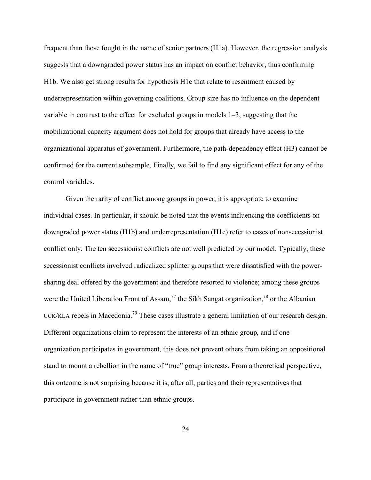frequent than those fought in the name of senior partners (H1a). However, the regression analysis suggests that a downgraded power status has an impact on conflict behavior, thus confirming H1b. We also get strong results for hypothesis H1c that relate to resentment caused by underrepresentation within governing coalitions. Group size has no influence on the dependent variable in contrast to the effect for excluded groups in models 1–3, suggesting that the mobilizational capacity argument does not hold for groups that already have access to the organizational apparatus of government. Furthermore, the path-dependency effect (H3) cannot be confirmed for the current subsample. Finally, we fail to find any significant effect for any of the control variables.

Given the rarity of conflict among groups in power, it is appropriate to examine individual cases. In particular, it should be noted that the events influencing the coefficients on downgraded power status (H1b) and underrepresentation (H1c) refer to cases of nonsecessionist conflict only. The ten secessionist conflicts are not well predicted by our model. Typically, these secessionist conflicts involved radicalized splinter groups that were dissatisfied with the powersharing deal offered by the government and therefore resorted to violence; among these groups were the United Liberation Front of Assam,<sup>77</sup> the Sikh Sangat organization,<sup>78</sup> or the Albanian UCK/KLA rebels in Macedonia.<sup>79</sup> These cases illustrate a general limitation of our research design. Different organizations claim to represent the interests of an ethnic group, and if one organization participates in government, this does not prevent others from taking an oppositional stand to mount a rebellion in the name of "true" group interests. From a theoretical perspective, this outcome is not surprising because it is, after all, parties and their representatives that participate in government rather than ethnic groups.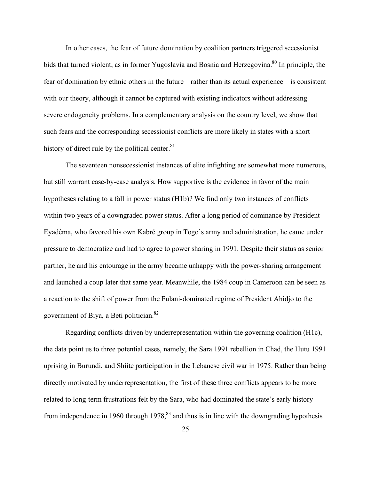In other cases, the fear of future domination by coalition partners triggered secessionist bids that turned violent, as in former Yugoslavia and Bosnia and Herzegovina.<sup>80</sup> In principle, the fear of domination by ethnic others in the future—rather than its actual experience—is consistent with our theory, although it cannot be captured with existing indicators without addressing severe endogeneity problems. In a complementary analysis on the country level, we show that such fears and the corresponding secessionist conflicts are more likely in states with a short history of direct rule by the political center. $81$ 

The seventeen nonsecessionist instances of elite infighting are somewhat more numerous, but still warrant case-by-case analysis. How supportive is the evidence in favor of the main hypotheses relating to a fall in power status (H1b)? We find only two instances of conflicts within two years of a downgraded power status. After a long period of dominance by President Eyadéma, who favored his own Kabré group in Togo's army and administration, he came under pressure to democratize and had to agree to power sharing in 1991. Despite their status as senior partner, he and his entourage in the army became unhappy with the power-sharing arrangement and launched a coup later that same year. Meanwhile, the 1984 coup in Cameroon can be seen as a reaction to the shift of power from the Fulani-dominated regime of President Ahidjo to the government of Biya, a Beti politician.<sup>82</sup>

Regarding conflicts driven by underrepresentation within the governing coalition (H1c), the data point us to three potential cases, namely, the Sara 1991 rebellion in Chad, the Hutu 1991 uprising in Burundi, and Shiite participation in the Lebanese civil war in 1975. Rather than being directly motivated by underrepresentation, the first of these three conflicts appears to be more related to long-term frustrations felt by the Sara, who had dominated the state's early history from independence in 1960 through  $1978$ ,<sup>83</sup> and thus is in line with the downgrading hypothesis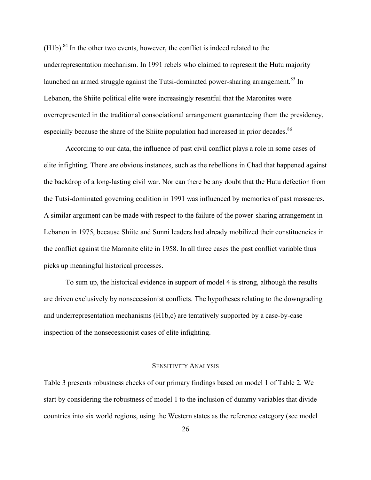$(H1b)$ .<sup>84</sup> In the other two events, however, the conflict is indeed related to the underrepresentation mechanism. In 1991 rebels who claimed to represent the Hutu majority launched an armed struggle against the Tutsi-dominated power-sharing arrangement.<sup>85</sup> In Lebanon, the Shiite political elite were increasingly resentful that the Maronites were overrepresented in the traditional consociational arrangement guaranteeing them the presidency, especially because the share of the Shiite population had increased in prior decades.<sup>86</sup>

According to our data, the influence of past civil conflict plays a role in some cases of elite infighting. There are obvious instances, such as the rebellions in Chad that happened against the backdrop of a long-lasting civil war. Nor can there be any doubt that the Hutu defection from the Tutsi-dominated governing coalition in 1991 was influenced by memories of past massacres. A similar argument can be made with respect to the failure of the power-sharing arrangement in Lebanon in 1975, because Shiite and Sunni leaders had already mobilized their constituencies in the conflict against the Maronite elite in 1958. In all three cases the past conflict variable thus picks up meaningful historical processes.

To sum up, the historical evidence in support of model 4 is strong, although the results are driven exclusively by nonsecessionist conflicts. The hypotheses relating to the downgrading and underrepresentation mechanisms (H1b,c) are tentatively supported by a case-by-case inspection of the nonsecessionist cases of elite infighting.

#### SENSITIVITY ANALYSIS

Table 3 presents robustness checks of our primary findings based on model 1 of Table 2. We start by considering the robustness of model 1 to the inclusion of dummy variables that divide countries into six world regions, using the Western states as the reference category (see model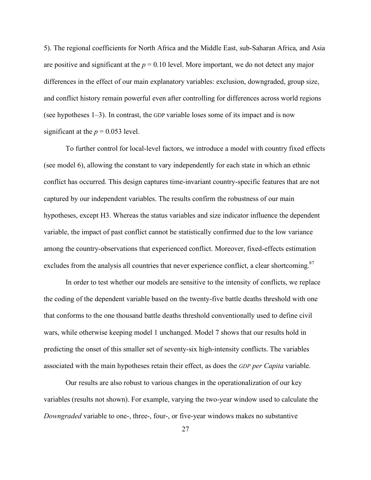5). The regional coefficients for North Africa and the Middle East, sub-Saharan Africa, and Asia are positive and significant at the  $p = 0.10$  level. More important, we do not detect any major differences in the effect of our main explanatory variables: exclusion, downgraded, group size, and conflict history remain powerful even after controlling for differences across world regions (see hypotheses 1–3). In contrast, the GDP variable loses some of its impact and is now significant at the  $p = 0.053$  level.

To further control for local-level factors, we introduce a model with country fixed effects (see model 6), allowing the constant to vary independently for each state in which an ethnic conflict has occurred. This design captures time-invariant country-specific features that are not captured by our independent variables. The results confirm the robustness of our main hypotheses, except H3. Whereas the status variables and size indicator influence the dependent variable, the impact of past conflict cannot be statistically confirmed due to the low variance among the country-observations that experienced conflict. Moreover, fixed-effects estimation excludes from the analysis all countries that never experience conflict, a clear shortcoming.<sup>87</sup>

In order to test whether our models are sensitive to the intensity of conflicts, we replace the coding of the dependent variable based on the twenty-five battle deaths threshold with one that conforms to the one thousand battle deaths threshold conventionally used to define civil wars, while otherwise keeping model 1 unchanged. Model 7 shows that our results hold in predicting the onset of this smaller set of seventy-six high-intensity conflicts. The variables associated with the main hypotheses retain their effect, as does the *GDP per Capita* variable.

Our results are also robust to various changes in the operationalization of our key variables (results not shown). For example, varying the two-year window used to calculate the *Downgraded* variable to one-, three-, four-, or five-year windows makes no substantive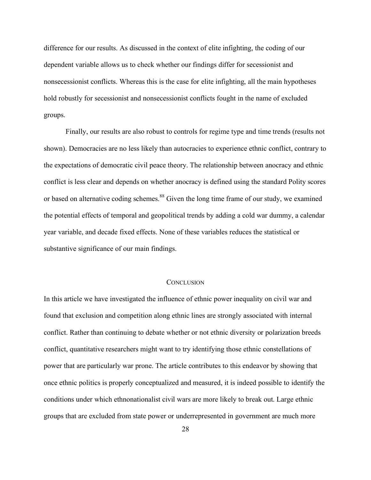difference for our results. As discussed in the context of elite infighting, the coding of our dependent variable allows us to check whether our findings differ for secessionist and nonsecessionist conflicts. Whereas this is the case for elite infighting, all the main hypotheses hold robustly for secessionist and nonsecessionist conflicts fought in the name of excluded groups.

Finally, our results are also robust to controls for regime type and time trends (results not shown). Democracies are no less likely than autocracies to experience ethnic conflict, contrary to the expectations of democratic civil peace theory. The relationship between anocracy and ethnic conflict is less clear and depends on whether anocracy is defined using the standard Polity scores or based on alternative coding schemes.<sup>88</sup> Given the long time frame of our study, we examined the potential effects of temporal and geopolitical trends by adding a cold war dummy, a calendar year variable, and decade fixed effects. None of these variables reduces the statistical or substantive significance of our main findings.

# **CONCLUSION**

In this article we have investigated the influence of ethnic power inequality on civil war and found that exclusion and competition along ethnic lines are strongly associated with internal conflict. Rather than continuing to debate whether or not ethnic diversity or polarization breeds conflict, quantitative researchers might want to try identifying those ethnic constellations of power that are particularly war prone. The article contributes to this endeavor by showing that once ethnic politics is properly conceptualized and measured, it is indeed possible to identify the conditions under which ethnonationalist civil wars are more likely to break out. Large ethnic groups that are excluded from state power or underrepresented in government are much more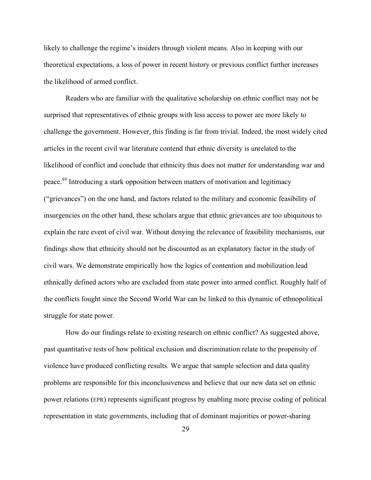likely to challenge the regime's insiders through violent means. Also in keeping with our theoretical expectations, a loss of power in recent history or previous conflict further increases the likelihood of armed conflict.

Readers who are familiar with the qualitative scholarship on ethnic conflict may not be surprised that representatives of ethnic groups with less access to power are more likely to challenge the government. However, this finding is far from trivial. Indeed, the most widely cited articles in the recent civil war literature contend that ethnic diversity is unrelated to the likelihood of conflict and conclude that ethnicity thus does not matter for understanding war and peace.<sup>89</sup> Introducing a stark opposition between matters of motivation and legitimacy ("grievances") on the one hand, and factors related to the military and economic feasibility of insurgencies on the other hand, these scholars argue that ethnic grievances are too ubiquitous to explain the rare event of civil war. Without denying the relevance of feasibility mechanisms, our findings show that ethnicity should not be discounted as an explanatory factor in the study of civil wars. We demonstrate empirically how the logics of contention and mobilization lead ethnically defined actors who are excluded from state power into armed conflict. Roughly half of the conflicts fought since the Second World War can be linked to this dynamic of ethnopolitical struggle for state power.

How do our findings relate to existing research on ethnic conflict? As suggested above, past quantitative tests of how political exclusion and discrimination relate to the propensity of violence have produced conflicting results. We argue that sample selection and data quality problems are responsible for this inconclusiveness and believe that our new data set on ethnic power relations (EPR) represents significant progress by enabling more precise coding of political representation in state governments, including that of dominant majorities or power-sharing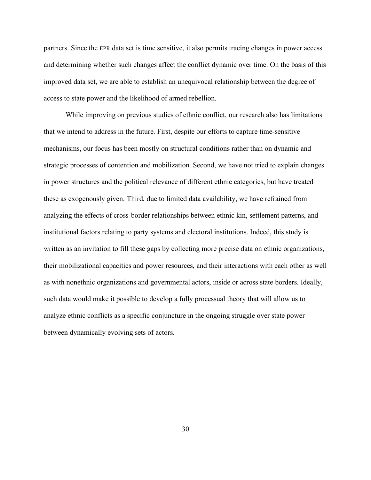partners. Since the EPR data set is time sensitive, it also permits tracing changes in power access and determining whether such changes affect the conflict dynamic over time. On the basis of this improved data set, we are able to establish an unequivocal relationship between the degree of access to state power and the likelihood of armed rebellion.

While improving on previous studies of ethnic conflict, our research also has limitations that we intend to address in the future. First, despite our efforts to capture time-sensitive mechanisms, our focus has been mostly on structural conditions rather than on dynamic and strategic processes of contention and mobilization. Second, we have not tried to explain changes in power structures and the political relevance of different ethnic categories, but have treated these as exogenously given. Third, due to limited data availability, we have refrained from analyzing the effects of cross-border relationships between ethnic kin, settlement patterns, and institutional factors relating to party systems and electoral institutions. Indeed, this study is written as an invitation to fill these gaps by collecting more precise data on ethnic organizations, their mobilizational capacities and power resources, and their interactions with each other as well as with nonethnic organizations and governmental actors, inside or across state borders. Ideally, such data would make it possible to develop a fully processual theory that will allow us to analyze ethnic conflicts as a specific conjuncture in the ongoing struggle over state power between dynamically evolving sets of actors.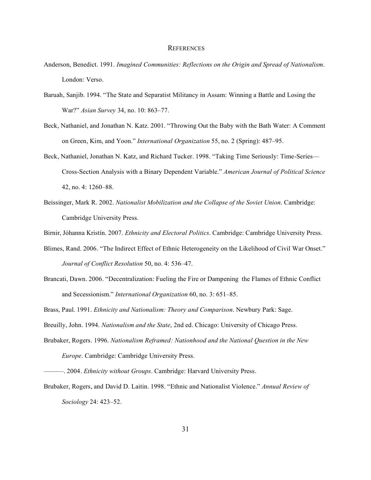#### **REFERENCES**

- Anderson, Benedict. 1991. *Imagined Communities: Reflections on the Origin and Spread of Nationalism*. London: Verso.
- Baruah, Sanjib. 1994. "The State and Separatist Militancy in Assam: Winning a Battle and Losing the War?" *Asian Survey* 34, no. 10: 863–77.
- Beck, Nathaniel, and Jonathan N. Katz. 2001. "Throwing Out the Baby with the Bath Water: A Comment on Green, Kim, and Yoon." *International Organization* 55, no. 2 (Spring): 487–95.
- Beck, Nathaniel, Jonathan N. Katz, and Richard Tucker. 1998. "Taking Time Seriously: Time-Series— Cross-Section Analysis with a Binary Dependent Variable." *American Journal of Political Science* 42, no. 4: 1260–88.
- Beissinger, Mark R. 2002. *Nationalist Mobilization and the Collapse of the Soviet Union*. Cambridge: Cambridge University Press.

Birnir, Jóhanna Kristín. 2007. *Ethnicity and Electoral Politics*. Cambridge: Cambridge University Press.

- Blimes, Rand. 2006. "The Indirect Effect of Ethnic Heterogeneity on the Likelihood of Civil War Onset." *Journal of Conflict Resolution* 50, no. 4: 536–47.
- Brancati, Dawn. 2006. "Decentralization: Fueling the Fire or Dampening the Flames of Ethnic Conflict and Secessionism." *International Organization* 60, no. 3: 651–85.

Brass, Paul. 1991. *Ethnicity and Nationalism: Theory and Comparison*. Newbury Park: Sage.

Breuilly, John. 1994. *Nationalism and the State*, 2nd ed. Chicago: University of Chicago Press.

Brubaker, Rogers. 1996. *Nationalism Reframed: Nationhood and the National Question in the New Europe*. Cambridge: Cambridge University Press.

<sup>———.</sup> 2004. *Ethnicity without Groups*. Cambridge: Harvard University Press.

Brubaker, Rogers, and David D. Laitin. 1998. "Ethnic and Nationalist Violence." *Annual Review of Sociology* 24: 423–52.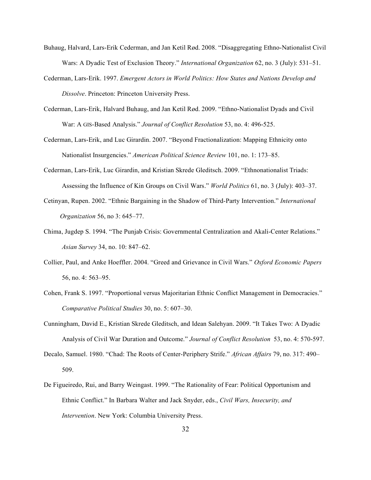- Buhaug, Halvard, Lars-Erik Cederman, and Jan Ketil Rød. 2008. "Disaggregating Ethno-Nationalist Civil Wars: A Dyadic Test of Exclusion Theory." *International Organization* 62, no. 3 (July): 531–51.
- Cederman, Lars-Erik. 1997. *Emergent Actors in World Politics: How States and Nations Develop and Dissolve*. Princeton: Princeton University Press.
- Cederman, Lars-Erik, Halvard Buhaug, and Jan Ketil Rød. 2009. "Ethno-Nationalist Dyads and Civil War: A GIS-Based Analysis." *Journal of Conflict Resolution* 53, no. 4: 496-525.
- Cederman, Lars-Erik, and Luc Girardin. 2007. "Beyond Fractionalization: Mapping Ethnicity onto Nationalist Insurgencies." *American Political Science Review* 101, no. 1: 173–85.
- Cederman, Lars-Erik, Luc Girardin, and Kristian Skrede Gleditsch. 2009. "Ethnonationalist Triads: Assessing the Influence of Kin Groups on Civil Wars." *World Politics* 61, no. 3 (July): 403–37.
- Cetinyan, Rupen. 2002. "Ethnic Bargaining in the Shadow of Third-Party Intervention." *International Organization* 56, no 3: 645–77.
- Chima, Jugdep S. 1994. "The Punjab Crisis: Governmental Centralization and Akali-Center Relations." *Asian Survey* 34, no. 10: 847–62.
- Collier, Paul, and Anke Hoeffler. 2004. "Greed and Grievance in Civil Wars." *Oxford Economic Papers* 56, no. 4: 563–95.
- Cohen, Frank S. 1997. "Proportional versus Majoritarian Ethnic Conflict Management in Democracies." *Comparative Political Studies* 30, no. 5: 607–30.
- Cunningham, David E., Kristian Skrede Gleditsch, and Idean Salehyan. 2009. "It Takes Two: A Dyadic Analysis of Civil War Duration and Outcome." *Journal of Conflict Resolution* 53, no. 4: 570-597.
- Decalo, Samuel. 1980. "Chad: The Roots of Center-Periphery Strife." *African Affairs* 79, no. 317: 490– 509.
- De Figueiredo, Rui, and Barry Weingast. 1999. "The Rationality of Fear: Political Opportunism and Ethnic Conflict." In Barbara Walter and Jack Snyder, eds., *Civil Wars, Insecurity, and Intervention*. New York: Columbia University Press.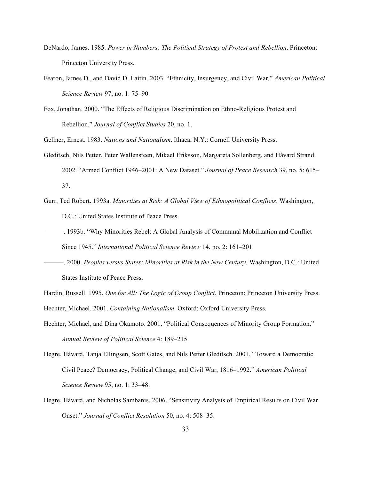- DeNardo, James. 1985. *Power in Numbers: The Political Strategy of Protest and Rebellion*. Princeton: Princeton University Press.
- Fearon, James D., and David D. Laitin. 2003. "Ethnicity, Insurgency, and Civil War." *American Political Science Review* 97, no. 1: 75–90.
- Fox, Jonathan. 2000. "The Effects of Religious Discrimination on Ethno-Religious Protest and Rebellion." *Journal of Conflict Studies* 20, no. 1.
- Gellner, Ernest. 1983. *Nations and Nationalism*. Ithaca, N.Y.: Cornell University Press.
- Gleditsch, Nils Petter, Peter Wallensteen, Mikael Eriksson, Margareta Sollenberg, and Håvard Strand. 2002. "Armed Conflict 1946–2001: A New Dataset." *Journal of Peace Research* 39, no. 5: 615– 37.
- Gurr, Ted Robert. 1993a. *Minorities at Risk: A Global View of Ethnopolitical Conflicts*. Washington, D.C.: United States Institute of Peace Press.
- ———. 1993b. "Why Minorities Rebel: A Global Analysis of Communal Mobilization and Conflict Since 1945." *International Political Science Review* 14, no. 2: 161–201
- ———. 2000. *Peoples versus States: Minorities at Risk in the New Century*. Washington, D.C.: United States Institute of Peace Press.

Hardin, Russell. 1995. *One for All: The Logic of Group Conflict*. Princeton: Princeton University Press. Hechter, Michael. 2001. *Containing Nationalism*. Oxford: Oxford University Press.

- Hechter, Michael, and Dina Okamoto. 2001. "Political Consequences of Minority Group Formation." *Annual Review of Political Science* 4: 189–215.
- Hegre, Håvard, Tanja Ellingsen, Scott Gates, and Nils Petter Gleditsch. 2001. "Toward a Democratic Civil Peace? Democracy, Political Change, and Civil War, 1816–1992." *American Political Science Review* 95, no. 1: 33–48.
- Hegre, Håvard, and Nicholas Sambanis. 2006. "Sensitivity Analysis of Empirical Results on Civil War Onset." *Journal of Conflict Resolution* 50, no. 4: 508–35.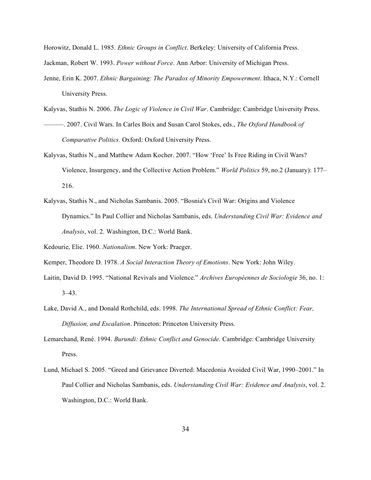Horowitz, Donald L. 1985. *Ethnic Groups in Conflict*. Berkeley: University of California Press.

Jackman, Robert W. 1993. *Power without Force*. Ann Arbor: University of Michigan Press.

- Jenne, Erin K. 2007. *Ethnic Bargaining: The Paradox of Minority Empowerment*. Ithaca, N.Y.: Cornell University Press.
- Kalyvas, Stathis N. 2006. *The Logic of Violence in Civil War*. Cambridge: Cambridge University Press.
- ———. 2007. Civil Wars. In Carles Boix and Susan Carol Stokes, eds., *The Oxford Handbook of Comparative Politics*. Oxford: Oxford University Press.
- Kalyvas, Stathis N., and Matthew Adam Kocher. 2007. "How 'Free' Is Free Riding in Civil Wars? Violence, Insurgency, and the Collective Action Problem." *World Politics* 59, no.2 (January): 177– 216.
- Kalyvas, Stathis N., and Nicholas Sambanis. 2005. "Bosnia's Civil War: Origins and Violence Dynamics." In Paul Collier and Nicholas Sambanis, eds. *Understanding Civil War: Evidence and Analysis*, vol. 2. Washington, D.C.: World Bank.

Kedourie, Elie. 1960. *Nationalism*. New York: Praeger.

Kemper, Theodore D. 1978. *A Social Interaction Theory of Emotions*. New York: John Wiley.

- Laitin, David D. 1995. "National Revivals and Violence." *Archives Européennes de Sociologie* 36, no. 1: 3–43.
- Lake, David A., and Donald Rothchild, eds. 1998. *The International Spread of Ethnic Conflict: Fear, Diffusion, and Escalation*. Princeton: Princeton University Press.
- Lemarchand, René. 1994. *Burundi: Ethnic Conflict and Genocide.* Cambridge: Cambridge University Press.
- Lund, Michael S. 2005. "Greed and Grievance Diverted: Macedonia Avoided Civil War, 1990–2001." In Paul Collier and Nicholas Sambanis, eds. *Understanding Civil War: Evidence and Analysis*, vol. 2. Washington, D.C.: World Bank.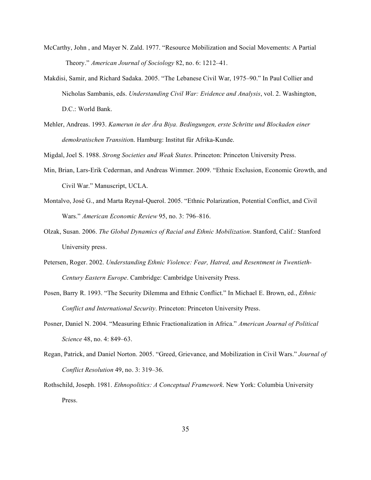- McCarthy, John , and Mayer N. Zald. 1977. "Resource Mobilization and Social Movements: A Partial Theory." *American Journal of Sociology* 82, no. 6: 1212–41.
- Makdisi, Samir, and Richard Sadaka. 2005. "The Lebanese Civil War, 1975–90." In Paul Collier and Nicholas Sambanis, eds. *Understanding Civil War: Evidence and Analysis*, vol. 2. Washington, D.C.: World Bank.
- Mehler, Andreas. 1993. *Kamerun in der Ära Biya. Bedingungen, erste Schritte und Blockaden einer demokratischen Transitio*n. Hamburg: Institut für Afrika-Kunde.

Migdal, Joel S. 1988. *Strong Societies and Weak States*. Princeton: Princeton University Press.

- Min, Brian, Lars-Erik Cederman, and Andreas Wimmer. 2009. "Ethnic Exclusion, Economic Growth, and Civil War." Manuscript, UCLA.
- Montalvo, José G., and Marta Reynal-Querol. 2005. "Ethnic Polarization, Potential Conflict, and Civil Wars." *American Economic Review* 95, no. 3: 796–816.
- Olzak, Susan. 2006. *The Global Dynamics of Racial and Ethnic Mobilization*. Stanford, Calif.: Stanford University press.
- Petersen, Roger. 2002. *Understanding Ethnic Violence: Fear, Hatred, and Resentment in Twentieth-Century Eastern Europe*. Cambridge: Cambridge University Press.
- Posen, Barry R. 1993. "The Security Dilemma and Ethnic Conflict." In Michael E. Brown, ed., *Ethnic Conflict and International Security*. Princeton: Princeton University Press.
- Posner, Daniel N. 2004. "Measuring Ethnic Fractionalization in Africa." *American Journal of Political Science* 48, no. 4: 849–63.
- Regan, Patrick, and Daniel Norton. 2005. "Greed, Grievance, and Mobilization in Civil Wars." *Journal of Conflict Resolution* 49, no. 3: 319–36.
- Rothschild, Joseph. 1981. *Ethnopolitics: A Conceptual Framework*. New York: Columbia University Press.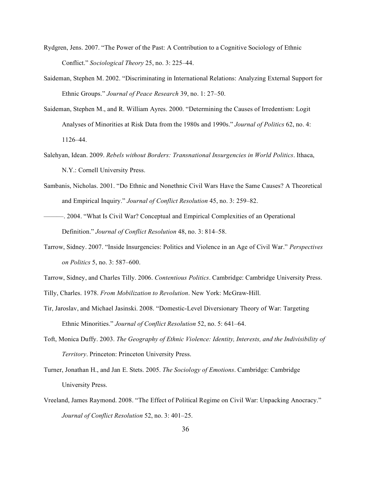- Rydgren, Jens. 2007. "The Power of the Past: A Contribution to a Cognitive Sociology of Ethnic Conflict." *Sociological Theory* 25, no. 3: 225–44.
- Saideman, Stephen M. 2002. "Discriminating in International Relations: Analyzing External Support for Ethnic Groups." *Journal of Peace Research* 39, no. 1: 27–50.
- Saideman, Stephen M., and R. William Ayres. 2000. "Determining the Causes of Irredentism: Logit Analyses of Minorities at Risk Data from the 1980s and 1990s." *Journal of Politics* 62, no. 4: 1126–44.
- Salehyan, Idean. 2009. *Rebels without Borders: Transnational Insurgencies in World Politics*. Ithaca, N.Y.: Cornell University Press.
- Sambanis, Nicholas. 2001. "Do Ethnic and Nonethnic Civil Wars Have the Same Causes? A Theoretical and Empirical Inquiry." *Journal of Conflict Resolution* 45, no. 3: 259–82.
- ———. 2004. "What Is Civil War? Conceptual and Empirical Complexities of an Operational Definition." *Journal of Conflict Resolution* 48, no. 3: 814–58.
- Tarrow, Sidney. 2007. "Inside Insurgencies: Politics and Violence in an Age of Civil War." *Perspectives on Politics* 5, no. 3: 587–600.
- Tarrow, Sidney, and Charles Tilly. 2006. *Contentious Politics*. Cambridge: Cambridge University Press.
- Tilly, Charles. 1978. *From Mobilization to Revolution*. New York: McGraw-Hill.
- Tir, Jaroslav, and Michael Jasinski. 2008. "Domestic-Level Diversionary Theory of War: Targeting Ethnic Minorities." *Journal of Conflict Resolution* 52, no. 5: 641–64.
- Toft, Monica Duffy. 2003. *The Geography of Ethnic Violence: Identity, Interests, and the Indivisibility of Territory*. Princeton: Princeton University Press.
- Turner, Jonathan H., and Jan E. Stets. 2005. *The Sociology of Emotions*. Cambridge: Cambridge University Press.
- Vreeland, James Raymond. 2008. "The Effect of Political Regime on Civil War: Unpacking Anocracy." *Journal of Conflict Resolution* 52, no. 3: 401–25.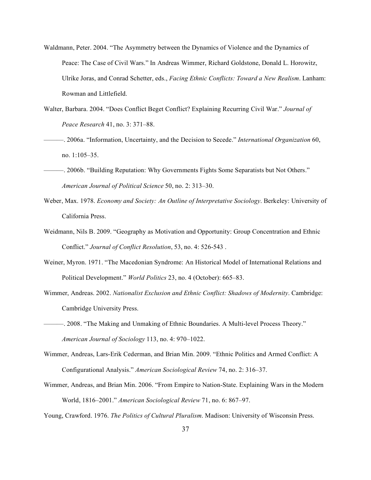- Waldmann, Peter. 2004. "The Asymmetry between the Dynamics of Violence and the Dynamics of Peace: The Case of Civil Wars." In Andreas Wimmer, Richard Goldstone, Donald L. Horowitz, Ulrike Joras, and Conrad Schetter, eds., *Facing Ethnic Conflicts: Toward a New Realism*. Lanham: Rowman and Littlefield.
- Walter, Barbara. 2004. "Does Conflict Beget Conflict? Explaining Recurring Civil War." *Journal of Peace Research* 41, no. 3: 371–88.
- ———. 2006a. "Information, Uncertainty, and the Decision to Secede." *International Organization* 60, no. 1:105–35.
- ———. 2006b. "Building Reputation: Why Governments Fights Some Separatists but Not Others." *American Journal of Political Science* 50, no. 2: 313–30.
- Weber, Max. 1978. *Economy and Society: An Outline of Interpretative Sociology*. Berkeley: University of California Press.
- Weidmann, Nils B. 2009. "Geography as Motivation and Opportunity: Group Concentration and Ethnic Conflict." *Journal of Conflict Resolution*, 53, no. 4: 526-543 .
- Weiner, Myron. 1971. "The Macedonian Syndrome: An Historical Model of International Relations and Political Development." *World Politics* 23, no. 4 (October): 665–83.
- Wimmer, Andreas. 2002. *Nationalist Exclusion and Ethnic Conflict: Shadows of Modernity*. Cambridge: Cambridge University Press.
- ———. 2008. "The Making and Unmaking of Ethnic Boundaries. A Multi-level Process Theory." *American Journal of Sociology* 113, no. 4: 970–1022.
- Wimmer, Andreas, Lars-Erik Cederman, and Brian Min. 2009. "Ethnic Politics and Armed Conflict: A Configurational Analysis." *American Sociological Review* 74, no. 2: 316–37.
- Wimmer, Andreas, and Brian Min. 2006. "From Empire to Nation-State. Explaining Wars in the Modern World, 1816–2001." *American Sociological Review* 71, no. 6: 867–97.

Young, Crawford. 1976. *The Politics of Cultural Pluralism*. Madison: University of Wisconsin Press.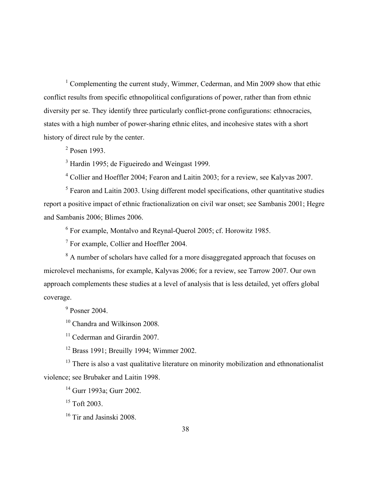<sup>1</sup> Complementing the current study, Wimmer, Cederman, and Min 2009 show that ethic conflict results from specific ethnopolitical configurations of power, rather than from ethnic diversity per se. They identify three particularly conflict-prone configurations: ethnocracies, states with a high number of power-sharing ethnic elites, and incohesive states with a short history of direct rule by the center.

 $<sup>2</sup>$  Posen 1993.</sup>

<sup>3</sup> Hardin 1995; de Figueiredo and Weingast 1999.

<sup>4</sup> Collier and Hoeffler 2004; Fearon and Laitin 2003; for a review, see Kalyvas 2007.

 $<sup>5</sup>$  Fearon and Laitin 2003. Using different model specifications, other quantitative studies</sup> report a positive impact of ethnic fractionalization on civil war onset; see Sambanis 2001; Hegre and Sambanis 2006; Blimes 2006.

<sup>6</sup> For example, Montalvo and Reynal-Querol 2005; cf. Horowitz 1985.

<sup>7</sup> For example, Collier and Hoeffler 2004.

<sup>8</sup> A number of scholars have called for a more disaggregated approach that focuses on microlevel mechanisms, for example, Kalyvas 2006; for a review, see Tarrow 2007. Our own approach complements these studies at a level of analysis that is less detailed, yet offers global coverage.

 $9$  Posner 2004.

<sup>10</sup> Chandra and Wilkinson 2008.

 $11$  Cederman and Girardin 2007.

<sup>12</sup> Brass 1991; Breuilly 1994; Wimmer 2002.

<sup>13</sup> There is also a vast qualitative literature on minority mobilization and ethnonationalist violence; see Brubaker and Laitin 1998.

<sup>14</sup> Gurr 1993a; Gurr 2002.

 $15$  Toft 2003.

<sup>16</sup> Tir and Jasinski 2008.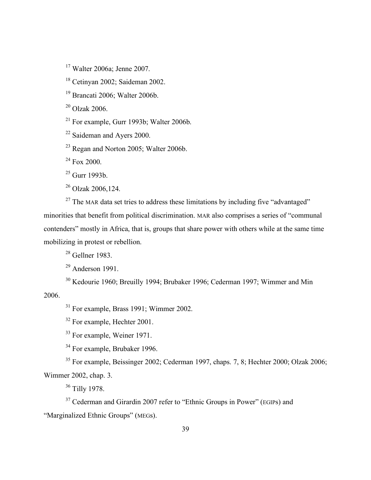<sup>17</sup> Walter 2006a; Jenne 2007.

<sup>18</sup> Cetinyan 2002; Saideman 2002.

<sup>19</sup> Brancati 2006; Walter 2006b.

 $20$  Olzak 2006.

 $21$  For example, Gurr 1993b; Walter 2006b.

<sup>22</sup> Saideman and Ayers 2000.

 $23$  Regan and Norton 2005; Walter 2006b.

<sup>24</sup> Fox 2000.

 $^{25}$  Gurr 1993b.

 $^{26}$  Olzak 2006, 124.

 $27$  The MAR data set tries to address these limitations by including five "advantaged" minorities that benefit from political discrimination. MAR also comprises a series of "communal contenders" mostly in Africa, that is, groups that share power with others while at the same time mobilizing in protest or rebellion.

 $28$  Gellner 1983.

 $29$  Anderson 1991.

<sup>30</sup> Kedourie 1960; Breuilly 1994; Brubaker 1996; Cederman 1997; Wimmer and Min

2006.

<sup>31</sup> For example, Brass 1991; Wimmer 2002.

<sup>32</sup> For example, Hechter 2001.

<sup>33</sup> For example, Weiner 1971.

<sup>34</sup> For example, Brubaker 1996.

<sup>35</sup> For example, Beissinger 2002; Cederman 1997, chaps. 7, 8; Hechter 2000; Olzak 2006; Wimmer 2002, chap. 3.

<sup>36</sup> Tilly 1978.

 $37$  Cederman and Girardin 2007 refer to "Ethnic Groups in Power" (EGIPs) and "Marginalized Ethnic Groups" (MEGs).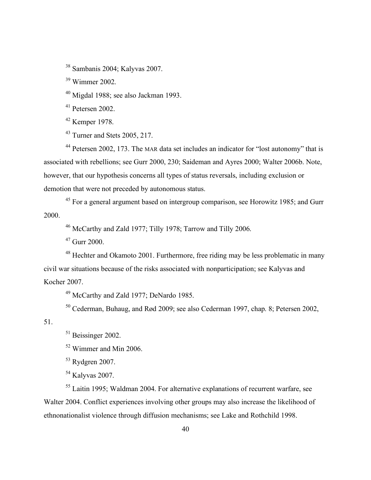Sambanis 2004; Kalyvas 2007.

Wimmer 2002.

Migdal 1988; see also Jackman 1993.

Petersen 2002.

Kemper 1978.

Turner and Stets 2005, 217.

 Petersen 2002, 173. The MAR data set includes an indicator for "lost autonomy" that is associated with rebellions; see Gurr 2000, 230; Saideman and Ayres 2000; Walter 2006b. Note, however, that our hypothesis concerns all types of status reversals, including exclusion or demotion that were not preceded by autonomous status.

 For a general argument based on intergroup comparison, see Horowitz 1985; and Gurr 2000.

McCarthy and Zald 1977; Tilly 1978; Tarrow and Tilly 2006.

Gurr 2000.

<sup>48</sup> Hechter and Okamoto 2001. Furthermore, free riding may be less problematic in many civil war situations because of the risks associated with nonparticipation; see Kalyvas and Kocher 2007.

McCarthy and Zald 1977; DeNardo 1985.

Cederman, Buhaug, and Rød 2009; see also Cederman 1997, chap. 8; Petersen 2002,

51.

Beissinger 2002.

Wimmer and Min 2006.

Rydgren 2007.

Kalyvas 2007.

 Laitin 1995; Waldman 2004. For alternative explanations of recurrent warfare, see Walter 2004. Conflict experiences involving other groups may also increase the likelihood of ethnonationalist violence through diffusion mechanisms; see Lake and Rothchild 1998.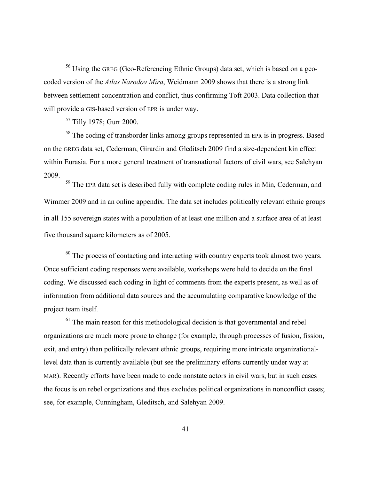<sup>56</sup> Using the GREG (Geo-Referencing Ethnic Groups) data set, which is based on a geocoded version of the *Atlas Narodov Mira*, Weidmann 2009 shows that there is a strong link between settlement concentration and conflict, thus confirming Toft 2003. Data collection that will provide a GIS-based version of EPR is under way.

<sup>57</sup> Tilly 1978; Gurr 2000.

<sup>58</sup> The coding of transborder links among groups represented in EPR is in progress. Based on the GREG data set, Cederman, Girardin and Gleditsch 2009 find a size-dependent kin effect within Eurasia. For a more general treatment of transnational factors of civil wars, see Salehyan 2009.

<sup>59</sup> The EPR data set is described fully with complete coding rules in Min, Cederman, and Wimmer 2009 and in an online appendix. The data set includes politically relevant ethnic groups in all 155 sovereign states with a population of at least one million and a surface area of at least five thousand square kilometers as of 2005.

<sup>60</sup> The process of contacting and interacting with country experts took almost two years. Once sufficient coding responses were available, workshops were held to decide on the final coding. We discussed each coding in light of comments from the experts present, as well as of information from additional data sources and the accumulating comparative knowledge of the project team itself.

 $<sup>61</sup>$  The main reason for this methodological decision is that governmental and rebel</sup> organizations are much more prone to change (for example, through processes of fusion, fission, exit, and entry) than politically relevant ethnic groups, requiring more intricate organizationallevel data than is currently available (but see the preliminary efforts currently under way at MAR). Recently efforts have been made to code nonstate actors in civil wars, but in such cases the focus is on rebel organizations and thus excludes political organizations in nonconflict cases; see, for example, Cunningham, Gleditsch, and Salehyan 2009.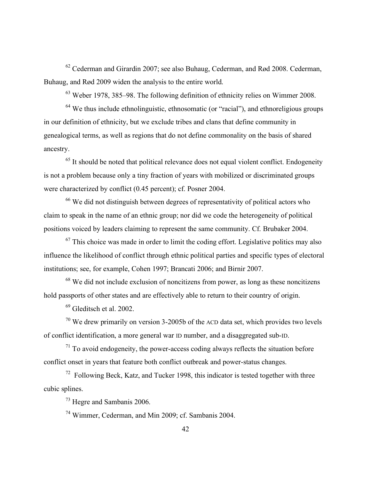$62$  Cederman and Girardin 2007; see also Buhaug, Cederman, and Rød 2008. Cederman, Buhaug, and Rød 2009 widen the analysis to the entire world.

<sup>63</sup> Weber 1978, 385–98. The following definition of ethnicity relies on Wimmer 2008.

 $64$  We thus include ethnolinguistic, ethnosomatic (or "racial"), and ethnoreligious groups in our definition of ethnicity, but we exclude tribes and clans that define community in genealogical terms, as well as regions that do not define commonality on the basis of shared ancestry.

 $<sup>65</sup>$  It should be noted that political relevance does not equal violent conflict. Endogeneity</sup> is not a problem because only a tiny fraction of years with mobilized or discriminated groups were characterized by conflict (0.45 percent); cf. Posner 2004.

<sup>66</sup> We did not distinguish between degrees of representativity of political actors who claim to speak in the name of an ethnic group; nor did we code the heterogeneity of political positions voiced by leaders claiming to represent the same community. Cf. Brubaker 2004.

 $67$  This choice was made in order to limit the coding effort. Legislative politics may also influence the likelihood of conflict through ethnic political parties and specific types of electoral institutions; see, for example, Cohen 1997; Brancati 2006; and Birnir 2007.

 $68$  We did not include exclusion of noncitizens from power, as long as these noncitizens hold passports of other states and are effectively able to return to their country of origin.

<sup>69</sup> Gleditsch et al. 2002.

 $70$  We drew primarily on version 3-2005b of the ACD data set, which provides two levels of conflict identification, a more general war ID number, and a disaggregated sub-ID.

 $71$  To avoid endogeneity, the power-access coding always reflects the situation before conflict onset in years that feature both conflict outbreak and power-status changes.

 $72$  Following Beck, Katz, and Tucker 1998, this indicator is tested together with three cubic splines.

<sup>73</sup> Hegre and Sambanis 2006.

<sup>74</sup> Wimmer, Cederman, and Min 2009; cf. Sambanis 2004.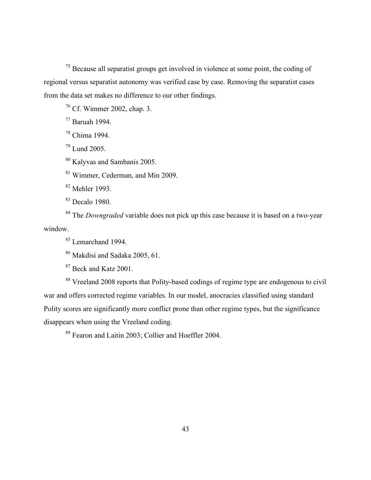<sup>75</sup> Because all separatist groups get involved in violence at some point, the coding of regional versus separatist autonomy was verified case by case. Removing the separatist cases from the data set makes no difference to our other findings.

<sup>76</sup> Cf. Wimmer 2002, chap. 3.

<sup>77</sup> Baruah 1994.

<sup>78</sup> Chima 1994.

<sup>79</sup> Lund 2005.

<sup>80</sup> Kalyvas and Sambanis 2005.

<sup>81</sup> Wimmer, Cederman, and Min 2009.

<sup>82</sup> Mehler 1993.

<sup>83</sup> Decalo 1980.

<sup>84</sup> The *Downgraded* variable does not pick up this case because it is based on a two-year window.

<sup>85</sup> Lemarchand 1994.

<sup>86</sup> Makdisi and Sadaka 2005, 61.

<sup>87</sup> Beck and Katz 2001.

<sup>88</sup> Vreeland 2008 reports that Polity-based codings of regime type are endogenous to civil war and offers corrected regime variables. In our model, anocracies classified using standard Polity scores are significantly more conflict prone than other regime types, but the significance disappears when using the Vreeland coding.

<sup>89</sup> Fearon and Laitin 2003; Collier and Hoeffler 2004.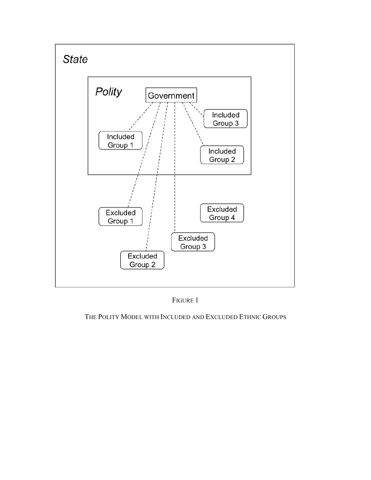

FIGURE 1

# THE POLITY MODEL WITH INCLUDED AND EXCLUDED ETHNIC GROUPS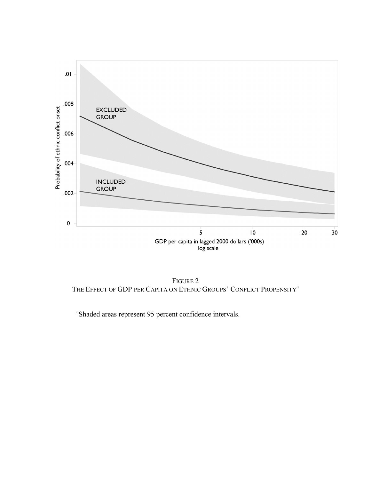

FIGURE 2 THE EFFECT OF GDP PER CAPITA ON ETHNIC GROUPS' CONFLICT PROPENSITY<sup>a</sup>

<sup>a</sup>Shaded areas represent 95 percent confidence intervals.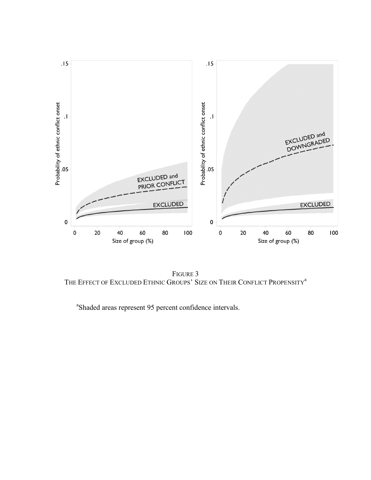

FIGURE 3 THE EFFECT OF EXCLUDED ETHNIC GROUPS' SIZE ON THEIR CONFLICT PROPENSITY<sup>a</sup>

<sup>a</sup>Shaded areas represent 95 percent confidence intervals.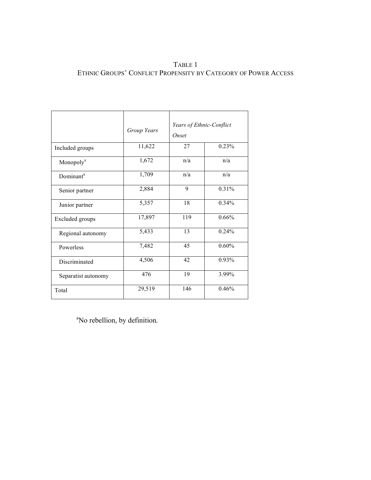# TABLE 1 ETHNIC GROUPS' CONFLICT PROPENSITY BY CATEGORY OF POWER ACCESS

|                       | Group Years | Years of Ethnic-Conflict<br>Onset |       |
|-----------------------|-------------|-----------------------------------|-------|
| Included groups       | 11,622      | 27                                | 0.23% |
| Monopoly <sup>a</sup> | 1,672       | n/a                               | n/a   |
| Dominant <sup>a</sup> | 1,709       | n/a                               | n/a   |
| Senior partner        | 2,884       | 9                                 | 0.31% |
| Junior partner        | 5,357       | 18                                | 0.34% |
| Excluded groups       | 17,897      | 119                               | 0.66% |
| Regional autonomy     | 5,433       | 13                                | 0.24% |
| Powerless             | 7,482       | 45                                | 0.60% |
| Discriminated         | 4,506       | 42                                | 0.93% |
| Separatist autonomy   | 476         | 19                                | 3.99% |
| Total                 | 29,519      | 146                               | 0.46% |

<sup>a</sup>No rebellion, by definition.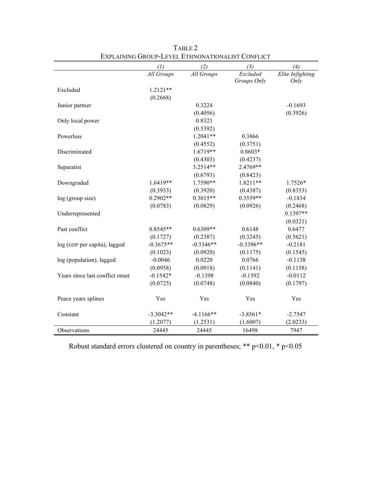|                                 | (1)         | (2)         | (3)         | (4)              |
|---------------------------------|-------------|-------------|-------------|------------------|
|                                 | All Groups  | All Groups  | Excluded    | Elite Infighting |
|                                 |             |             | Groups Only | Only             |
| Excluded                        | $1.2121**$  |             |             |                  |
|                                 | (0.2668)    |             |             |                  |
| Junior partner                  |             | 0.3224      |             | $-0.1693$        |
|                                 |             | (0.4056)    |             | (0.3926)         |
| Only local power                |             | 0.8321      |             |                  |
|                                 |             | (0.5392)    |             |                  |
| Powerless                       |             | $1.2041**$  | 0.3866      |                  |
|                                 |             | (0.4552)    | (0.3751)    |                  |
| Discriminated                   |             | $1.6719**$  | $0.8603*$   |                  |
|                                 |             | (0.4303)    | (0.4237)    |                  |
| Separatist                      |             | $3.2514**$  | 2.4769**    |                  |
|                                 |             | (0.6793)    | (0.8423)    |                  |
| Downgraded                      | $1.6419**$  | 1.7590**    | $1.8211**$  | 1.7526*          |
|                                 | (0.3933)    | (0.3920)    | (0.4387)    | (0.8353)         |
| log (group size)                | $0.2902**$  | $0.3015**$  | $0.3559**$  | $-0.1834$        |
|                                 | (0.0783)    | (0.0829)    | (0.0926)    | (0.2468)         |
| Underrepresented                |             |             |             | $0.1397**$       |
|                                 |             |             |             | (0.0321)         |
| Past conflict                   | $0.8545**$  | $0.6309**$  | 0.6148      | 0.6477           |
|                                 | (0.1727)    | (0.2387)    | (0.3245)    | (0.5621)         |
| log (GDP per capita), lagged    | $-0.3675**$ | $-0.3346**$ | $-0.3396**$ | $-0.2181$        |
|                                 | (0.1023)    | (0.0920)    | (0.1175)    | (0.1545)         |
| log (population), lagged        | $-0.0046$   | 0.0220      | 0.0766      | $-0.1138$        |
|                                 | (0.0958)    | (0.0918)    | (0.1141)    | (0.1158)         |
| Years since last conflict onset | $-0.1542*$  | $-0.1398$   | $-0.1592$   | $-0.0112$        |
|                                 | (0.0725)    | (0.0748)    | (0.0840)    | (0.1797)         |
|                                 |             |             |             |                  |
| Peace years splines             | Yes         | Yes         | Yes         | Yes              |
| Constant                        | $-3.3042**$ | $-4.1166**$ | $-3.8561*$  | $-2.7547$        |
|                                 | (1.2077)    | (1.2531)    | (1.6007)    | (2.0233)         |
| Observations                    | 24445       | 24445       | 16498       | 7947             |

TABLE 2 EXPLAINING GROUP-LEVEL ETHNONATIONALIST CONFLICT

Robust standard errors clustered on country in parentheses; \*\*  $p$  < 0.01, \*  $p$  < 0.05